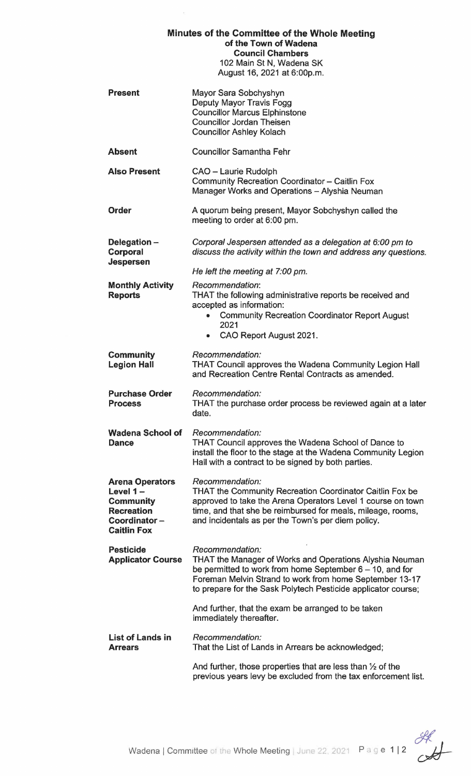| Minutes of the Committee of the Whole Meeting<br>of the Town of Wadena<br><b>Council Chambers</b><br>102 Main St N, Wadena SK<br>August 16, 2021 at 6:00p.m. |                                                                                                                                                                                                                                                                              |
|--------------------------------------------------------------------------------------------------------------------------------------------------------------|------------------------------------------------------------------------------------------------------------------------------------------------------------------------------------------------------------------------------------------------------------------------------|
| <b>Present</b>                                                                                                                                               | Mayor Sara Sobchyshyn<br>Deputy Mayor Travis Fogg<br><b>Councillor Marcus Elphinstone</b><br><b>Councillor Jordan Theisen</b><br><b>Councillor Ashley Kolach</b>                                                                                                             |
| <b>Absent</b>                                                                                                                                                | <b>Councillor Samantha Fehr</b>                                                                                                                                                                                                                                              |
| <b>Also Present</b>                                                                                                                                          | CAO - Laurie Rudolph<br>Community Recreation Coordinator - Caitlin Fox<br>Manager Works and Operations - Alyshia Neuman                                                                                                                                                      |
| <b>Order</b>                                                                                                                                                 | A quorum being present, Mayor Sobchyshyn called the<br>meeting to order at 6:00 pm.                                                                                                                                                                                          |
| Delegation-<br>Corporal<br><b>Jespersen</b>                                                                                                                  | Corporal Jespersen attended as a delegation at 6:00 pm to<br>discuss the activity within the town and address any questions.                                                                                                                                                 |
|                                                                                                                                                              | He left the meeting at 7:00 pm.                                                                                                                                                                                                                                              |
| <b>Monthly Activity</b><br><b>Reports</b>                                                                                                                    | Recommendation:<br>THAT the following administrative reports be received and<br>accepted as information:<br><b>Community Recreation Coordinator Report August</b><br>$\bullet$<br>2021<br>CAO Report August 2021.<br>۰                                                       |
| <b>Community</b><br><b>Legion Hall</b>                                                                                                                       | Recommendation:<br>THAT Council approves the Wadena Community Legion Hall<br>and Recreation Centre Rental Contracts as amended.                                                                                                                                              |
| <b>Purchase Order</b><br><b>Process</b>                                                                                                                      | Recommendation:<br>THAT the purchase order process be reviewed again at a later<br>date.                                                                                                                                                                                     |
| <b>Wadena School of</b><br><b>Dance</b>                                                                                                                      | Recommendation:<br><b>THAT Council approves the Wadena School of Dance to</b><br>install the floor to the stage at the Wadena Community Legion<br>Hall with a contract to be signed by both parties.                                                                         |
| <b>Arena Operators</b><br>Level $1-$<br><b>Community</b><br><b>Recreation</b><br>Coordinator-<br><b>Caitlin Fox</b>                                          | Recommendation:<br><b>THAT the Community Recreation Coordinator Caitlin Fox be</b><br>approved to take the Arena Operators Level 1 course on town<br>time, and that she be reimbursed for meals, mileage, rooms,<br>and incidentals as per the Town's per diem policy.       |
| <b>Pesticide</b><br><b>Applicator Course</b>                                                                                                                 | Recommendation:<br><b>THAT the Manager of Works and Operations Alyshia Neuman</b><br>be permitted to work from home September $6 - 10$ , and for<br>Foreman Melvin Strand to work from home September 13-17<br>to prepare for the Sask Polytech Pesticide applicator course; |
|                                                                                                                                                              | And further, that the exam be arranged to be taken<br>immediately thereafter.                                                                                                                                                                                                |
| <b>List of Lands in</b><br><b>Arrears</b>                                                                                                                    | Recommendation:<br>That the List of Lands in Arrears be acknowledged;                                                                                                                                                                                                        |
|                                                                                                                                                              | And further, those properties that are less than $\frac{1}{2}$ of the<br>previous years levy be excluded from the tax enforcement list.                                                                                                                                      |

 $\mathcal{C}$